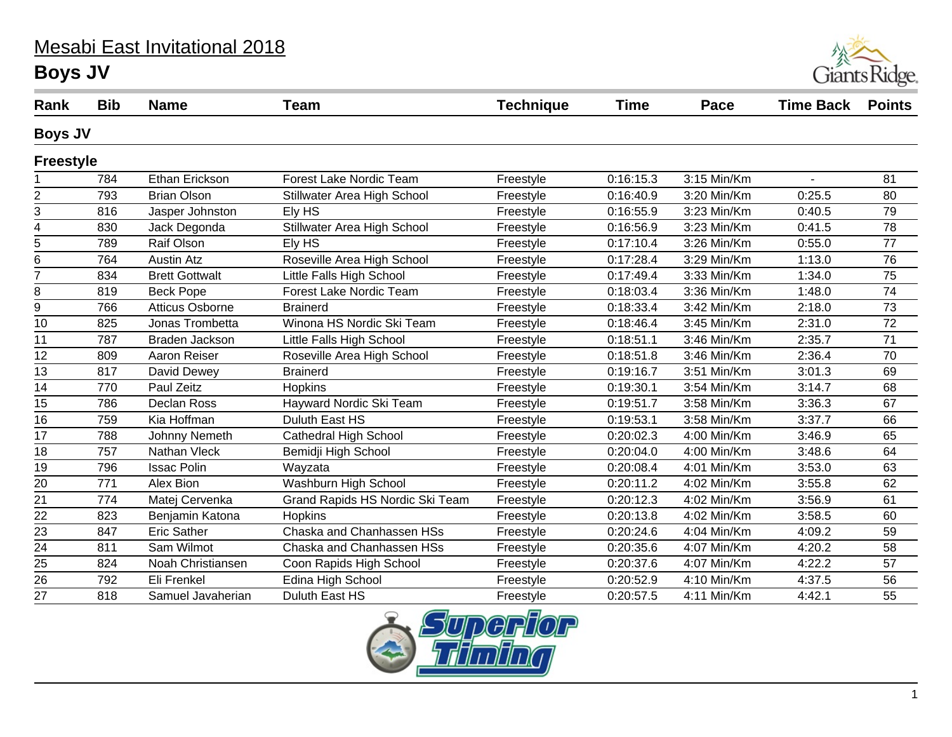## Mesabi East Invitational 2018 **Boys JV**



| Rank             | <b>Bib</b> | <b>Name</b>            | Team                            | <b>Technique</b> | <b>Time</b> | Pace        | <b>Time Back</b> | <b>Points</b>   |
|------------------|------------|------------------------|---------------------------------|------------------|-------------|-------------|------------------|-----------------|
| <b>Boys JV</b>   |            |                        |                                 |                  |             |             |                  |                 |
| <b>Freestyle</b> |            |                        |                                 |                  |             |             |                  |                 |
|                  | 784        | Ethan Erickson         | <b>Forest Lake Nordic Team</b>  | Freestyle        | 0:16:15.3   | 3:15 Min/Km | $\overline{a}$   | 81              |
| $\overline{2}$   | 793        | <b>Brian Olson</b>     | Stillwater Area High School     | Freestyle        | 0:16:40.9   | 3:20 Min/Km | 0:25.5           | 80              |
| 3                | 816        | Jasper Johnston        | Ely HS                          | Freestyle        | 0:16:55.9   | 3:23 Min/Km | 0:40.5           | 79              |
| 4                | 830        | Jack Degonda           | Stillwater Area High School     | Freestyle        | 0:16:56.9   | 3:23 Min/Km | 0:41.5           | 78              |
| 5                | 789        | Raif Olson             | Ely HS                          | Freestyle        | 0:17:10.4   | 3:26 Min/Km | 0:55.0           | 77              |
| 6                | 764        | <b>Austin Atz</b>      | Roseville Area High School      | Freestyle        | 0:17:28.4   | 3:29 Min/Km | 1:13.0           | 76              |
| 7                | 834        | <b>Brett Gottwalt</b>  | Little Falls High School        | Freestyle        | 0:17:49.4   | 3:33 Min/Km | 1:34.0           | 75              |
| 8                | 819        | <b>Beck Pope</b>       | Forest Lake Nordic Team         | Freestyle        | 0:18:03.4   | 3:36 Min/Km | 1:48.0           | 74              |
| 9                | 766        | <b>Atticus Osborne</b> | <b>Brainerd</b>                 | Freestyle        | 0:18:33.4   | 3:42 Min/Km | 2:18.0           | 73              |
| 10               | 825        | Jonas Trombetta        | Winona HS Nordic Ski Team       | Freestyle        | 0:18:46.4   | 3:45 Min/Km | 2:31.0           | 72              |
| 11               | 787        | <b>Braden Jackson</b>  | Little Falls High School        | Freestyle        | 0:18:51.1   | 3:46 Min/Km | 2:35.7           | 71              |
| 12               | 809        | Aaron Reiser           | Roseville Area High School      | Freestyle        | 0:18:51.8   | 3:46 Min/Km | 2:36.4           | 70              |
| 13               | 817        | David Dewey            | <b>Brainerd</b>                 | Freestyle        | 0:19:16.7   | 3:51 Min/Km | 3:01.3           | 69              |
| 14               | 770        | Paul Zeitz             | Hopkins                         | Freestyle        | 0:19:30.1   | 3:54 Min/Km | 3:14.7           | 68              |
| 15               | 786        | Declan Ross            | Hayward Nordic Ski Team         | Freestyle        | 0:19:51.7   | 3:58 Min/Km | 3:36.3           | 67              |
| 16               | 759        | Kia Hoffman            | Duluth East HS                  | Freestyle        | 0:19:53.1   | 3:58 Min/Km | 3:37.7           | 66              |
| 17               | 788        | Johnny Nemeth          | <b>Cathedral High School</b>    | Freestyle        | 0:20:02.3   | 4:00 Min/Km | 3:46.9           | 65              |
| 18               | 757        | Nathan Vleck           | Bemidji High School             | Freestyle        | 0:20:04.0   | 4:00 Min/Km | 3:48.6           | 64              |
| 19               | 796        | <b>Issac Polin</b>     | Wayzata                         | Freestyle        | 0:20:08.4   | 4:01 Min/Km | 3:53.0           | 63              |
| 20               | 771        | Alex Bion              | Washburn High School            | Freestyle        | 0:20:11.2   | 4:02 Min/Km | 3:55.8           | 62              |
| 21               | 774        | Matej Cervenka         | Grand Rapids HS Nordic Ski Team | Freestyle        | 0:20:12.3   | 4:02 Min/Km | 3:56.9           | 61              |
| 22               | 823        | Benjamin Katona        | Hopkins                         | Freestyle        | 0:20:13.8   | 4:02 Min/Km | 3:58.5           | 60              |
| 23               | 847        | <b>Eric Sather</b>     | Chaska and Chanhassen HSs       | Freestyle        | 0:20:24.6   | 4:04 Min/Km | 4:09.2           | 59              |
| 24               | 811        | Sam Wilmot             | Chaska and Chanhassen HSs       | Freestyle        | 0:20:35.6   | 4:07 Min/Km | 4:20.2           | 58              |
| 25               | 824        | Noah Christiansen      | Coon Rapids High School         | Freestyle        | 0:20:37.6   | 4:07 Min/Km | 4:22.2           | 57              |
| $\overline{26}$  | 792        | Eli Frenkel            | Edina High School               | Freestyle        | 0:20:52.9   | 4:10 Min/Km | 4:37.5           | $\overline{56}$ |
| 27               | 818        | Samuel Javaherian      | Duluth East HS                  | Freestyle        | 0:20:57.5   | 4:11 Min/Km | 4:42.1           | 55              |

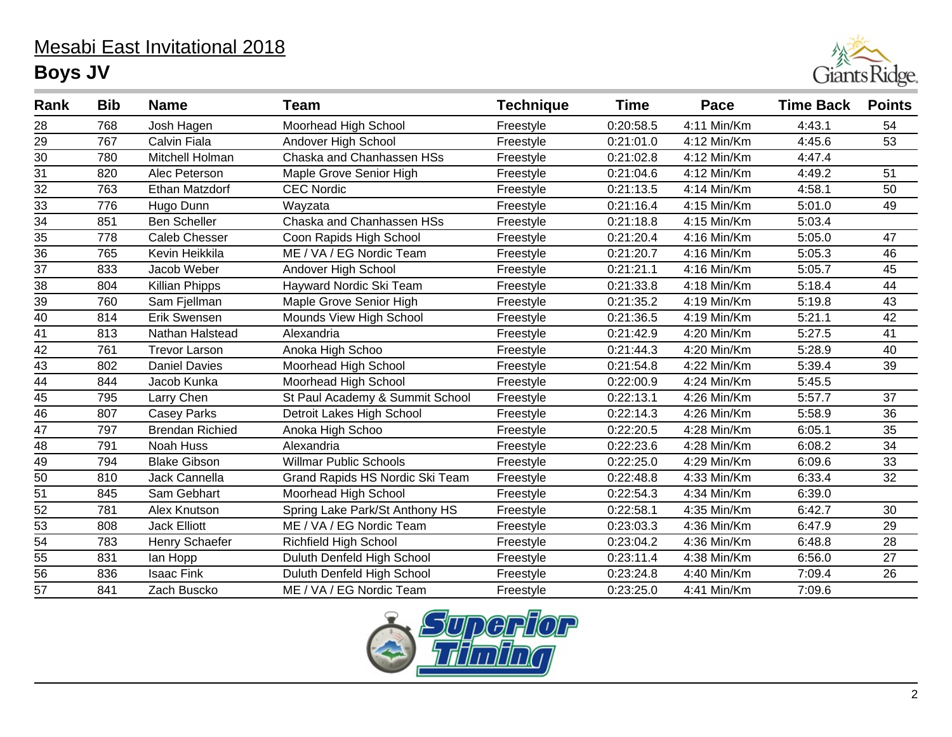## Mesabi East Invitational 2018 **Boys JV**



| Rank            | <b>Bib</b> | <b>Name</b>            | <b>Team</b>                     | <b>Technique</b> | <b>Time</b> | Pace        | <b>Time Back</b> | <b>Points</b> |
|-----------------|------------|------------------------|---------------------------------|------------------|-------------|-------------|------------------|---------------|
| 28              | 768        | Josh Hagen             | Moorhead High School            | Freestyle        | 0:20:58.5   | 4:11 Min/Km | 4:43.1           | 54            |
| $\overline{29}$ | 767        | Calvin Fiala           | Andover High School             | Freestyle        | 0:21:01.0   | 4:12 Min/Km | 4:45.6           | 53            |
| 30              | 780        | Mitchell Holman        | Chaska and Chanhassen HSs       | Freestyle        | 0:21:02.8   | 4:12 Min/Km | 4:47.4           |               |
| $\overline{31}$ | 820        | Alec Peterson          | Maple Grove Senior High         | Freestyle        | 0:21:04.6   | 4:12 Min/Km | 4:49.2           | 51            |
| $\overline{32}$ | 763        | <b>Ethan Matzdorf</b>  | <b>CEC Nordic</b>               | Freestyle        | 0:21:13.5   | 4:14 Min/Km | 4:58.1           | 50            |
| $\overline{33}$ | 776        | Hugo Dunn              | Wayzata                         | Freestyle        | 0:21:16.4   | 4:15 Min/Km | 5:01.0           | 49            |
| $\overline{34}$ | 851        | <b>Ben Scheller</b>    | Chaska and Chanhassen HSs       | Freestyle        | 0:21:18.8   | 4:15 Min/Km | 5:03.4           |               |
| 35              | 778        | <b>Caleb Chesser</b>   | Coon Rapids High School         | Freestyle        | 0:21:20.4   | 4:16 Min/Km | 5:05.0           | 47            |
| 36              | 765        | Kevin Heikkila         | ME / VA / EG Nordic Team        | Freestyle        | 0:21:20.7   | 4:16 Min/Km | 5:05.3           | 46            |
| $\overline{37}$ | 833        | Jacob Weber            | Andover High School             | Freestyle        | 0:21:21.1   | 4:16 Min/Km | 5:05.7           | 45            |
| 38              | 804        | <b>Killian Phipps</b>  | Hayward Nordic Ski Team         | Freestyle        | 0:21:33.8   | 4:18 Min/Km | 5:18.4           | 44            |
| $\overline{39}$ | 760        | Sam Fjellman           | Maple Grove Senior High         | Freestyle        | 0:21:35.2   | 4:19 Min/Km | 5:19.8           | 43            |
| 40              | 814        | Erik Swensen           | Mounds View High School         | Freestyle        | 0:21:36.5   | 4:19 Min/Km | 5:21.1           | 42            |
| 41              | 813        | Nathan Halstead        | Alexandria                      | Freestyle        | 0:21:42.9   | 4:20 Min/Km | 5:27.5           | 41            |
| 42              | 761        | <b>Trevor Larson</b>   | Anoka High Schoo                | Freestyle        | 0:21:44.3   | 4:20 Min/Km | 5:28.9           | 40            |
| 43              | 802        | <b>Daniel Davies</b>   | Moorhead High School            | Freestyle        | 0:21:54.8   | 4:22 Min/Km | 5:39.4           | 39            |
| $\overline{44}$ | 844        | Jacob Kunka            | Moorhead High School            | Freestyle        | 0:22:00.9   | 4:24 Min/Km | 5:45.5           |               |
| $\overline{45}$ | 795        | Larry Chen             | St Paul Academy & Summit School | Freestyle        | 0:22:13.1   | 4:26 Min/Km | 5:57.7           | 37            |
| 46              | 807        | <b>Casey Parks</b>     | Detroit Lakes High School       | Freestyle        | 0:22:14.3   | 4:26 Min/Km | 5:58.9           | 36            |
| 47              | 797        | <b>Brendan Richied</b> | Anoka High Schoo                | Freestyle        | 0:22:20.5   | 4:28 Min/Km | 6:05.1           | 35            |
| $\overline{48}$ | 791        | Noah Huss              | Alexandria                      | Freestyle        | 0:22:23.6   | 4:28 Min/Km | 6:08.2           | 34            |
| 49              | 794        | <b>Blake Gibson</b>    | <b>Willmar Public Schools</b>   | Freestyle        | 0:22:25.0   | 4:29 Min/Km | 6:09.6           | 33            |
| 50              | 810        | Jack Cannella          | Grand Rapids HS Nordic Ski Team | Freestyle        | 0:22:48.8   | 4:33 Min/Km | 6:33.4           | 32            |
| 51              | 845        | Sam Gebhart            | Moorhead High School            | Freestyle        | 0:22:54.3   | 4:34 Min/Km | 6:39.0           |               |
| $\overline{52}$ | 781        | Alex Knutson           | Spring Lake Park/St Anthony HS  | Freestyle        | 0:22:58.1   | 4:35 Min/Km | 6:42.7           | 30            |
| 53              | 808        | <b>Jack Elliott</b>    | ME / VA / EG Nordic Team        | Freestyle        | 0:23:03.3   | 4:36 Min/Km | 6:47.9           | 29            |
| 54              | 783        | Henry Schaefer         | <b>Richfield High School</b>    | Freestyle        | 0:23:04.2   | 4:36 Min/Km | 6:48.8           | 28            |
| 55              | 831        | lan Hopp               | Duluth Denfeld High School      | Freestyle        | 0:23:11.4   | 4:38 Min/Km | 6:56.0           | 27            |
| $\overline{56}$ | 836        | <b>Isaac Fink</b>      | Duluth Denfeld High School      | Freestyle        | 0:23:24.8   | 4:40 Min/Km | 7:09.4           | 26            |
| 57              | 841        | Zach Buscko            | ME / VA / EG Nordic Team        | Freestyle        | 0:23:25.0   | 4:41 Min/Km | 7:09.6           |               |